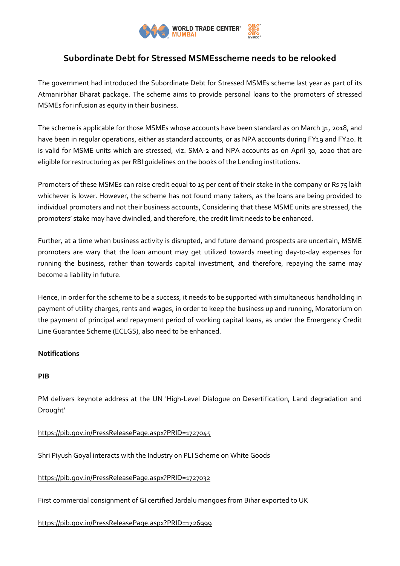

# **Subordinate Debt for Stressed MSMEsscheme needs to be relooked**

The government had introduced the Subordinate Debt for Stressed MSMEs scheme last year as part of its Atmanirbhar Bharat package. The scheme aims to provide personal loans to the promoters of stressed MSMEs for infusion as equity in their business.

The scheme is applicable for those MSMEs whose accounts have been standard as on March 31, 2018, and have been in regular operations, either as standard accounts, or as NPA accounts during FY19 and FY20. It is valid for MSME units which are stressed, viz. SMA-2 and NPA accounts as on April 30, 2020 that are eligible for restructuring as per RBI guidelines on the books of the Lending institutions.

Promoters of these MSMEs can raise credit equal to 15 per cent of their stake in the company or Rs 75 lakh whichever is lower. However, the scheme has not found many takers, as the loans are being provided to individual promoters and not their business accounts, Considering that these MSME units are stressed, the promoters' stake may have dwindled, and therefore, the credit limit needs to be enhanced.

Further, at a time when business activity is disrupted, and future demand prospects are uncertain, MSME promoters are wary that the loan amount may get utilized towards meeting day-to-day expenses for running the business, rather than towards capital investment, and therefore, repaying the same may become a liability in future.

Hence, in order for the scheme to be a success, it needs to be supported with simultaneous handholding in payment of utility charges, rents and wages, in order to keep the business up and running, Moratorium on the payment of principal and repayment period of working capital loans, as under the Emergency Credit Line Guarantee Scheme (ECLGS), also need to be enhanced.

## **Notifications**

## **PIB**

PM delivers keynote address at the UN 'High-Level Dialogue on Desertification, Land degradation and Drought'

## <https://pib.gov.in/PressReleasePage.aspx?PRID=1727045>

Shri Piyush Goyal interacts with the Industry on PLI Scheme on White Goods

## <https://pib.gov.in/PressReleasePage.aspx?PRID=1727032>

First commercial consignment of GI certified Jardalu mangoes from Bihar exported to UK

## <https://pib.gov.in/PressReleasePage.aspx?PRID=1726999>